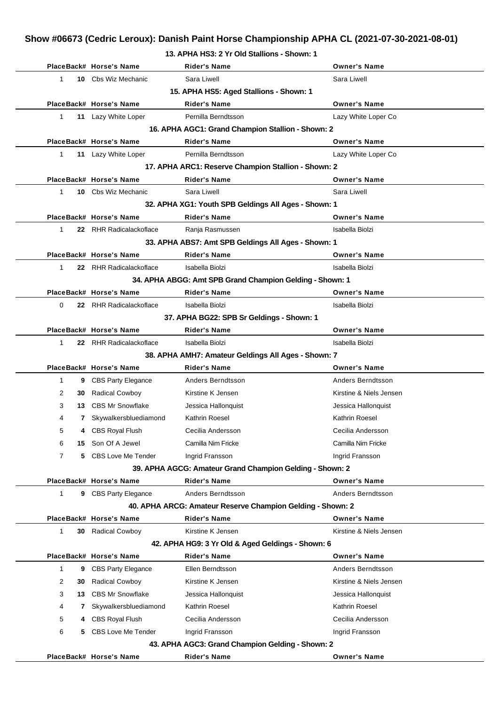# **Show #06673 (Cedric Leroux): Danish Paint Horse Championship APHA CL (2021-07-30-2021-08-01)**

| 13. APHA HS3: 2 Yr Old Stallions - Shown: 1 |  |
|---------------------------------------------|--|
|---------------------------------------------|--|

|                   | PlaceBack# Horse's Name        | Rider's Name                                               | <b>Owner's Name</b>     |
|-------------------|--------------------------------|------------------------------------------------------------|-------------------------|
| 1                 | 10 Cbs Wiz Mechanic            | Sara Liwell                                                | Sara Liwell             |
|                   |                                | 15. APHA HS5: Aged Stallions - Shown: 1                    |                         |
|                   | PlaceBack# Horse's Name        | <b>Rider's Name</b>                                        | <b>Owner's Name</b>     |
| $\mathbf{1}$      | 11 Lazy White Loper            | Pernilla Berndtsson                                        | Lazy White Loper Co     |
|                   |                                | 16. APHA AGC1: Grand Champion Stallion - Shown: 2          |                         |
|                   | PlaceBack# Horse's Name        | <b>Rider's Name</b>                                        | <b>Owner's Name</b>     |
| $\mathbf{1}$      | 11 Lazy White Loper            | Pernilla Berndtsson                                        | Lazy White Loper Co     |
|                   |                                | 17. APHA ARC1: Reserve Champion Stallion - Shown: 2        |                         |
|                   | PlaceBack# Horse's Name        | <b>Rider's Name</b>                                        | <b>Owner's Name</b>     |
| $\mathbf{1}$      | <b>10</b> Cbs Wiz Mechanic     | Sara Liwell                                                | Sara Liwell             |
|                   |                                | 32. APHA XG1: Youth SPB Geldings All Ages - Shown: 1       |                         |
|                   | PlaceBack# Horse's Name        | <b>Rider's Name</b>                                        | <b>Owner's Name</b>     |
| 1                 | <b>22</b> RHR Radicalackoflace | Ranja Rasmussen                                            | Isabella Biolzi         |
|                   |                                | 33. APHA ABS7: Amt SPB Geldings All Ages - Shown: 1        |                         |
|                   | PlaceBack# Horse's Name        | <b>Rider's Name</b>                                        | <b>Owner's Name</b>     |
| 1                 | <b>22</b> RHR Radicalackoflace | Isabella Biolzi                                            | Isabella Biolzi         |
|                   |                                | 34. APHA ABGG: Amt SPB Grand Champion Gelding - Shown: 1   |                         |
|                   | PlaceBack# Horse's Name        | <b>Rider's Name</b>                                        | <b>Owner's Name</b>     |
| 0                 | <b>22</b> RHR Radicalackoflace | Isabella Biolzi                                            | Isabella Biolzi         |
|                   |                                | 37. APHA BG22: SPB Sr Geldings - Shown: 1                  |                         |
|                   | PlaceBack# Horse's Name        | <b>Rider's Name</b>                                        | <b>Owner's Name</b>     |
| $\mathbf{1}$      | <b>22</b> RHR Radicalackoflace | Isabella Biolzi                                            | Isabella Biolzi         |
|                   |                                | 38. APHA AMH7: Amateur Geldings All Ages - Shown: 7        |                         |
|                   | PlaceBack# Horse's Name        | <b>Rider's Name</b>                                        | <b>Owner's Name</b>     |
| 1                 | 9 CBS Party Elegance           | Anders Berndtsson                                          | Anders Berndtsson       |
| 2                 | <b>30</b> Radical Cowboy       | Kirstine K Jensen                                          | Kirstine & Niels Jensen |
| 3                 | 13 CBS Mr Snowflake            | Jessica Hallonquist                                        | Jessica Hallonquist     |
| 4                 | 7 Skywalkersbluediamond        | Kathrin Roesel                                             | Kathrin Roesel          |
| 5                 | 4 CBS Royal Flush              | Cecilia Andersson                                          | Cecilia Andersson       |
| 6                 | 15 Son Of A Jewel              | Camilla Nim Fricke                                         | Camilla Nim Fricke      |
| 7                 | 5 CBS Love Me Tender           | Ingrid Fransson                                            | Ingrid Fransson         |
|                   |                                | 39. APHA AGCG: Amateur Grand Champion Gelding - Shown: 2   |                         |
|                   | PlaceBack# Horse's Name        | <b>Rider's Name</b>                                        | <b>Owner's Name</b>     |
| 1                 | 9 CBS Party Elegance           | Anders Berndtsson                                          | Anders Berndtsson       |
|                   |                                | 40. APHA ARCG: Amateur Reserve Champion Gelding - Shown: 2 |                         |
|                   | PlaceBack# Horse's Name        | <b>Rider's Name</b>                                        | <b>Owner's Name</b>     |
| 1                 | <b>30</b> Radical Cowboy       | Kirstine K Jensen                                          | Kirstine & Niels Jensen |
|                   |                                | 42. APHA HG9: 3 Yr Old & Aged Geldings - Shown: 6          |                         |
|                   | PlaceBack# Horse's Name        | <b>Rider's Name</b>                                        | <b>Owner's Name</b>     |
|                   |                                |                                                            |                         |
| 1                 | <b>9</b> CBS Party Elegance    | Ellen Berndtsson                                           | Anders Berndtsson       |
| 2<br>30           | <b>Radical Cowboy</b>          | Kirstine K Jensen                                          | Kirstine & Niels Jensen |
| 3<br>13.          | <b>CBS Mr Snowflake</b>        | Jessica Hallonquist                                        | Jessica Hallonquist     |
| 4<br>$\mathbf{7}$ | Skywalkersbluediamond          | Kathrin Roesel                                             | Kathrin Roesel          |
| 5                 | 4 CBS Royal Flush              | Cecilia Andersson                                          | Cecilia Andersson       |
| 6<br>5.           | <b>CBS Love Me Tender</b>      | Ingrid Fransson                                            | Ingrid Fransson         |
|                   |                                | 43. APHA AGC3: Grand Champion Gelding - Shown: 2           |                         |
|                   | PlaceBack# Horse's Name        | <b>Rider's Name</b>                                        | <b>Owner's Name</b>     |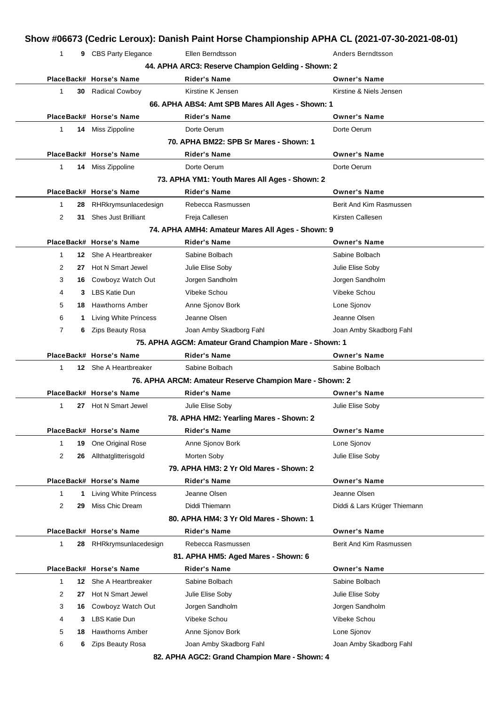|              |     |                              | Show #06673 (Cedric Leroux): Danish Paint Horse Championship APHA CL (2021-07-30-2021-08-01) |                              |
|--------------|-----|------------------------------|----------------------------------------------------------------------------------------------|------------------------------|
| 1            |     | 9 CBS Party Elegance         | Ellen Berndtsson                                                                             | Anders Berndtsson            |
|              |     |                              | 44. APHA ARC3: Reserve Champion Gelding - Shown: 2                                           |                              |
|              |     | PlaceBack# Horse's Name      | <b>Rider's Name</b>                                                                          | <b>Owner's Name</b>          |
| 1            |     | 30 Radical Cowboy            | Kirstine K Jensen                                                                            | Kirstine & Niels Jensen      |
|              |     |                              | 66. APHA ABS4: Amt SPB Mares All Ages - Shown: 1                                             |                              |
|              |     | PlaceBack# Horse's Name      | <b>Rider's Name</b>                                                                          | <b>Owner's Name</b>          |
| 1            |     | 14 Miss Zippoline            | Dorte Oerum                                                                                  | Dorte Oerum                  |
|              |     |                              | 70. APHA BM22: SPB Sr Mares - Shown: 1                                                       |                              |
|              |     | PlaceBack# Horse's Name      | Rider's Name                                                                                 | <b>Owner's Name</b>          |
| $\mathbf{1}$ |     | 14 Miss Zippoline            | Dorte Oerum                                                                                  | Dorte Oerum                  |
|              |     |                              | 73. APHA YM1: Youth Mares All Ages - Shown: 2                                                |                              |
|              |     | PlaceBack# Horse's Name      | <b>Rider's Name</b>                                                                          | <b>Owner's Name</b>          |
| 1            | 28  | RHRkrymsunlacedesign         | Rebecca Rasmussen                                                                            | Berit And Kim Rasmussen      |
| 2            | 31  | <b>Shes Just Brilliant</b>   | Freja Callesen                                                                               | Kirsten Callesen             |
|              |     |                              | 74. APHA AMH4: Amateur Mares All Ages - Shown: 9                                             |                              |
|              |     | PlaceBack# Horse's Name      | <b>Rider's Name</b>                                                                          | <b>Owner's Name</b>          |
| 1            |     | <b>12</b> She A Heartbreaker | Sabine Bolbach                                                                               | Sabine Bolbach               |
| 2            | 27  | Hot N Smart Jewel            | Julie Elise Soby                                                                             | Julie Elise Soby             |
| 3            | 16. | Cowboyz Watch Out            | Jorgen Sandholm                                                                              | Jorgen Sandholm              |
| 4            | 3   | <b>LBS Katie Dun</b>         | Vibeke Schou                                                                                 | Vibeke Schou                 |
| 5            |     | 18 Hawthorns Amber           | Anne Sjonov Bork                                                                             | Lone Sjonov                  |
| 6            | 1   | <b>Living White Princess</b> | Jeanne Olsen                                                                                 | Jeanne Olsen                 |
| 7            |     | 6 Zips Beauty Rosa           | Joan Amby Skadborg Fahl                                                                      | Joan Amby Skadborg Fahl      |
|              |     |                              | 75. APHA AGCM: Amateur Grand Champion Mare - Shown: 1                                        |                              |
|              |     | PlaceBack# Horse's Name      | <b>Rider's Name</b>                                                                          | <b>Owner's Name</b>          |
| $\mathbf{1}$ |     | 12 She A Heartbreaker        | Sabine Bolbach                                                                               | Sabine Bolbach               |
|              |     |                              | 76. APHA ARCM: Amateur Reserve Champion Mare - Shown: 2                                      |                              |
|              |     | PlaceBack# Horse's Name      | <b>Rider's Name</b>                                                                          | <b>Owner's Name</b>          |
| 1            |     | 27 Hot N Smart Jewel         | Julie Elise Soby                                                                             | Julie Elise Soby             |
|              |     |                              | 78. APHA HM2: Yearling Mares - Shown: 2                                                      |                              |
|              |     | PlaceBack# Horse's Name      | <b>Rider's Name</b>                                                                          | <b>Owner's Name</b>          |
| $\mathbf{1}$ | 19  | One Original Rose            | Anne Sjonov Bork                                                                             | Lone Sjonov                  |
| 2            | 26  | Allthatglitterisgold         | Morten Soby                                                                                  | Julie Elise Soby             |
|              |     |                              | 79. APHA HM3: 2 Yr Old Mares - Shown: 2                                                      |                              |
|              |     | PlaceBack# Horse's Name      | Rider's Name                                                                                 | <b>Owner's Name</b>          |
| $\mathbf{1}$ | 1   | <b>Living White Princess</b> | Jeanne Olsen                                                                                 | Jeanne Olsen                 |
| 2            | 29  | Miss Chic Dream              | Diddi Thiemann                                                                               | Diddi & Lars Krüger Thiemann |
|              |     |                              | 80. APHA HM4: 3 Yr Old Mares - Shown: 1                                                      |                              |
|              |     | PlaceBack# Horse's Name      | <b>Rider's Name</b>                                                                          | <b>Owner's Name</b>          |
| $\mathbf{1}$ | 28  | RHRkrymsunlacedesign         | Rebecca Rasmussen                                                                            | Berit And Kim Rasmussen      |
|              |     |                              | 81. APHA HM5: Aged Mares - Shown: 6                                                          |                              |
|              |     | PlaceBack# Horse's Name      | <b>Rider's Name</b>                                                                          | <b>Owner's Name</b>          |
| 1            | 12  | She A Heartbreaker           | Sabine Bolbach                                                                               | Sabine Bolbach               |
| 2            | 27  | Hot N Smart Jewel            | Julie Elise Soby                                                                             | Julie Elise Soby             |
| 3            | 16  | Cowboyz Watch Out            | Jorgen Sandholm                                                                              | Jorgen Sandholm              |
| 4            | 3   | <b>LBS Katie Dun</b>         | Vibeke Schou                                                                                 | Vibeke Schou                 |
| 5            | 18. | <b>Hawthorns Amber</b>       | Anne Sjonov Bork                                                                             | Lone Sjonov                  |
| 6            | 6   | <b>Zips Beauty Rosa</b>      | Joan Amby Skadborg Fahl                                                                      | Joan Amby Skadborg Fahl      |
|              |     |                              | 82. APHA AGC2: Grand Champion Mare - Shown: 4                                                |                              |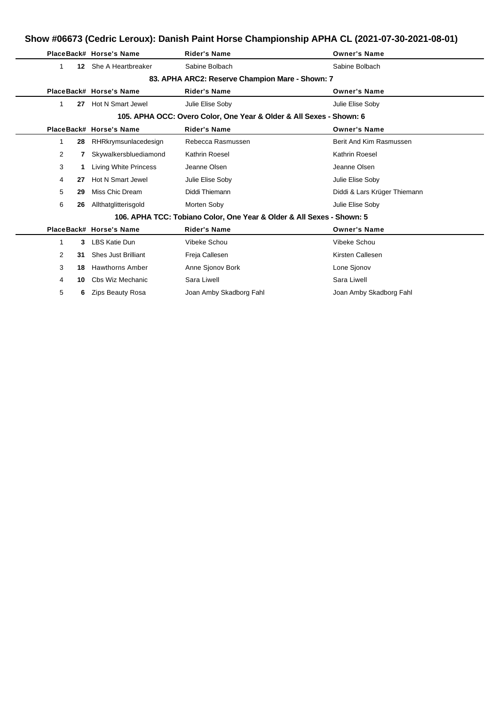# **Show #06673 (Cedric Leroux): Danish Paint Horse Championship APHA CL (2021-07-30-2021-08-01)**

|                                                                       |     | PlaceBack# Horse's Name    | <b>Rider's Name</b>                                                 | <b>Owner's Name</b>          |  |
|-----------------------------------------------------------------------|-----|----------------------------|---------------------------------------------------------------------|------------------------------|--|
| 1                                                                     |     | 12 She A Heartbreaker      | Sabine Bolbach                                                      | Sabine Bolbach               |  |
|                                                                       |     |                            | 83. APHA ARC2: Reserve Champion Mare - Shown: 7                     |                              |  |
|                                                                       |     | PlaceBack# Horse's Name    | <b>Rider's Name</b>                                                 | <b>Owner's Name</b>          |  |
| 1                                                                     | 27  | Hot N Smart Jewel          | Julie Elise Soby                                                    | Julie Elise Soby             |  |
|                                                                       |     |                            | 105. APHA OCC: Overo Color, One Year & Older & All Sexes - Shown: 6 |                              |  |
|                                                                       |     | PlaceBack# Horse's Name    | <b>Rider's Name</b>                                                 | <b>Owner's Name</b>          |  |
| 1                                                                     | 28  | RHRkrymsunlacedesign       | Rebecca Rasmussen                                                   | Berit And Kim Rasmussen      |  |
| $\overline{2}$                                                        | 7   | Skywalkersbluediamond      | Kathrin Roesel                                                      | Kathrin Roesel               |  |
| 3                                                                     | 1   | Living White Princess      | Jeanne Olsen                                                        | Jeanne Olsen                 |  |
| 4                                                                     | 27  | Hot N Smart Jewel          | Julie Elise Soby                                                    | Julie Elise Soby             |  |
| 5                                                                     | 29  | Miss Chic Dream            | Diddi Thiemann                                                      | Diddi & Lars Krüger Thiemann |  |
| 6                                                                     | 26  | Allthatglitterisgold       | Morten Soby                                                         | Julie Elise Soby             |  |
| 106. APHA TCC: Tobiano Color, One Year & Older & All Sexes - Shown: 5 |     |                            |                                                                     |                              |  |
|                                                                       |     | PlaceBack# Horse's Name    | <b>Rider's Name</b>                                                 | <b>Owner's Name</b>          |  |
| 1                                                                     |     | 3 LBS Katie Dun            | Vibeke Schou                                                        | Vibeke Schou                 |  |
| $\overline{2}$                                                        | 31  | <b>Shes Just Brilliant</b> | Freja Callesen                                                      | Kirsten Callesen             |  |
| 3                                                                     | 18  | <b>Hawthorns Amber</b>     | Anne Sjonov Bork                                                    | Lone Sjonov                  |  |
| 4                                                                     | 10. | Cbs Wiz Mechanic           | Sara Liwell                                                         | Sara Liwell                  |  |
| 5                                                                     | 6   | <b>Zips Beauty Rosa</b>    | Joan Amby Skadborg Fahl                                             | Joan Amby Skadborg Fahl      |  |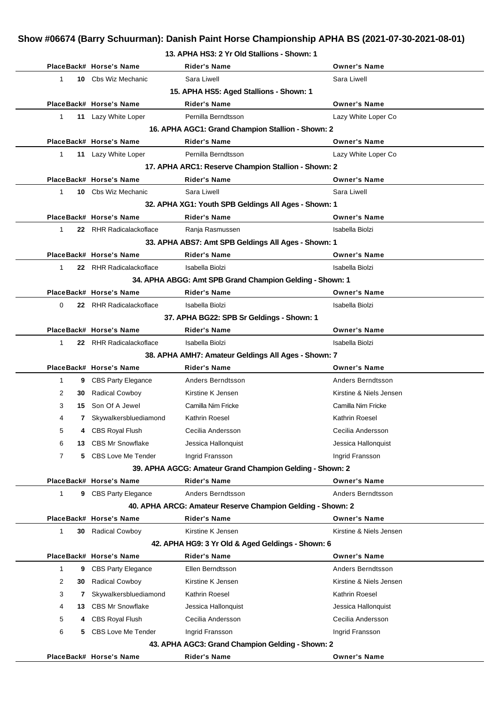# **Show #06674 (Barry Schuurman): Danish Paint Horse Championship APHA BS (2021-07-30-2021-08-01)**

|                |     | PlaceBack# Horse's Name    | Rider's Name                                               | <b>Owner's Name</b>     |
|----------------|-----|----------------------------|------------------------------------------------------------|-------------------------|
| $\mathbf{1}$   |     | 10 Cbs Wiz Mechanic        | Sara Liwell                                                | Sara Liwell             |
|                |     |                            | 15. APHA HS5: Aged Stallions - Shown: 1                    |                         |
|                |     | PlaceBack# Horse's Name    | <b>Rider's Name</b>                                        | <b>Owner's Name</b>     |
| $\mathbf{1}$   |     | 11 Lazy White Loper        | Pernilla Berndtsson                                        | Lazy White Loper Co     |
|                |     |                            | 16. APHA AGC1: Grand Champion Stallion - Shown: 2          |                         |
|                |     | PlaceBack# Horse's Name    | <b>Rider's Name</b>                                        | <b>Owner's Name</b>     |
| $\mathbf 1$    |     | 11 Lazy White Loper        | Pernilla Berndtsson                                        | Lazy White Loper Co     |
|                |     |                            | 17. APHA ARC1: Reserve Champion Stallion - Shown: 2        |                         |
|                |     | PlaceBack# Horse's Name    | <b>Rider's Name</b>                                        | <b>Owner's Name</b>     |
| $\mathbf 1$    |     | <b>10</b> Cbs Wiz Mechanic | Sara Liwell                                                | Sara Liwell             |
|                |     |                            | 32. APHA XG1: Youth SPB Geldings All Ages - Shown: 1       |                         |
|                |     | PlaceBack# Horse's Name    | <b>Rider's Name</b>                                        | <b>Owner's Name</b>     |
| $\mathbf 1$    |     | 22 RHR Radicalackoflace    | Ranja Rasmussen                                            | Isabella Biolzi         |
|                |     |                            | 33. APHA ABS7: Amt SPB Geldings All Ages - Shown: 1        |                         |
|                |     | PlaceBack# Horse's Name    | <b>Rider's Name</b>                                        | <b>Owner's Name</b>     |
| $\mathbf 1$    |     | 22 RHR Radicalackoflace    | Isabella Biolzi                                            | Isabella Biolzi         |
|                |     |                            | 34. APHA ABGG: Amt SPB Grand Champion Gelding - Shown: 1   |                         |
|                |     | PlaceBack# Horse's Name    | <b>Rider's Name</b>                                        | <b>Owner's Name</b>     |
| 0              |     | 22 RHR Radicalackoflace    | Isabella Biolzi                                            | Isabella Biolzi         |
|                |     |                            | 37. APHA BG22: SPB Sr Geldings - Shown: 1                  |                         |
|                |     | PlaceBack# Horse's Name    | <b>Rider's Name</b>                                        | <b>Owner's Name</b>     |
| $\mathbf 1$    |     | 22 RHR Radicalackoflace    | Isabella Biolzi                                            | Isabella Biolzi         |
|                |     |                            | 38. APHA AMH7: Amateur Geldings All Ages - Shown: 7        |                         |
|                |     | PlaceBack# Horse's Name    | <b>Rider's Name</b>                                        | <b>Owner's Name</b>     |
| $\mathbf{1}$   |     | 9 CBS Party Elegance       | Anders Berndtsson                                          | Anders Berndtsson       |
| 2              |     | 30 Radical Cowboy          | Kirstine K Jensen                                          | Kirstine & Niels Jensen |
| 3              |     | 15 Son Of A Jewel          | Camilla Nim Fricke                                         | Camilla Nim Fricke      |
| 4              | 7   | Skywalkersbluediamond      | Kathrin Roesel                                             | Kathrin Roesel          |
| 5              |     | 4 CBS Royal Flush          | Cecilia Andersson                                          | Cecilia Andersson       |
| 6              | 13. | <b>CBS Mr Snowflake</b>    | Jessica Hallonquist                                        | Jessica Hallonquist     |
| $\overline{7}$ | 5.  | CBS Love Me Tender         | Ingrid Fransson                                            | Ingrid Fransson         |
|                |     |                            | 39. APHA AGCG: Amateur Grand Champion Gelding - Shown: 2   |                         |
|                |     | PlaceBack# Horse's Name    | <b>Rider's Name</b>                                        | <b>Owner's Name</b>     |
| 1              |     | 9 CBS Party Elegance       | Anders Berndtsson                                          | Anders Berndtsson       |
|                |     |                            | 40. APHA ARCG: Amateur Reserve Champion Gelding - Shown: 2 |                         |
|                |     | PlaceBack# Horse's Name    | <b>Rider's Name</b>                                        | <b>Owner's Name</b>     |
| 1              | 30  | <b>Radical Cowboy</b>      | Kirstine K Jensen                                          | Kirstine & Niels Jensen |
|                |     |                            | 42. APHA HG9: 3 Yr Old & Aged Geldings - Shown: 6          |                         |
|                |     | PlaceBack# Horse's Name    | <b>Rider's Name</b>                                        | <b>Owner's Name</b>     |
| 1              | 9   | <b>CBS Party Elegance</b>  | Ellen Berndtsson                                           | Anders Berndtsson       |
| $\overline{2}$ | 30  | <b>Radical Cowboy</b>      | Kirstine K Jensen                                          | Kirstine & Niels Jensen |
| 3              | 7   | Skywalkersbluediamond      | Kathrin Roesel                                             | Kathrin Roesel          |
| 4              | 13  | <b>CBS Mr Snowflake</b>    | Jessica Hallonquist                                        | Jessica Hallonquist     |
| 5              | 4   | <b>CBS Royal Flush</b>     | Cecilia Andersson                                          | Cecilia Andersson       |
| 6              | 5.  | <b>CBS Love Me Tender</b>  | Ingrid Fransson                                            |                         |
|                |     |                            |                                                            | Ingrid Fransson         |
|                |     |                            | 43. APHA AGC3: Grand Champion Gelding - Shown: 2           |                         |
|                |     | PlaceBack# Horse's Name    | <b>Rider's Name</b>                                        | <b>Owner's Name</b>     |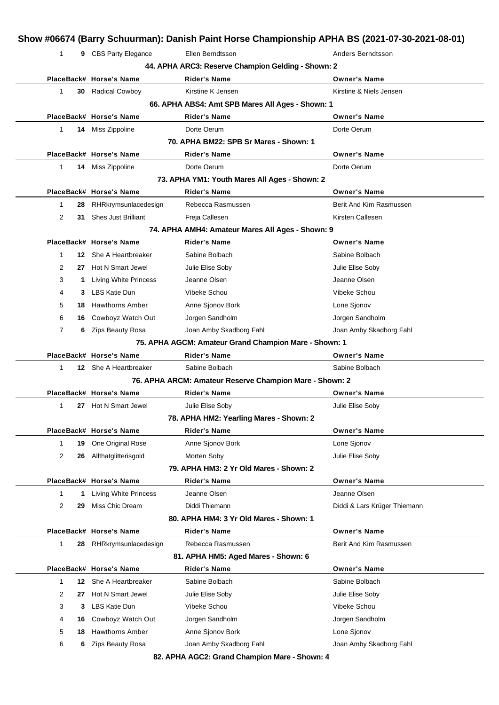|                |    |                              | Show #06674 (Barry Schuurman): Danish Paint Horse Championship APHA BS (2021-07-30-2021-08-01) |                              |
|----------------|----|------------------------------|------------------------------------------------------------------------------------------------|------------------------------|
| 1              |    | 9 CBS Party Elegance         | Ellen Berndtsson                                                                               | Anders Berndtsson            |
|                |    |                              | 44. APHA ARC3: Reserve Champion Gelding - Shown: 2                                             |                              |
|                |    | PlaceBack# Horse's Name      | <b>Rider's Name</b>                                                                            | <b>Owner's Name</b>          |
| 1              |    | <b>30</b> Radical Cowboy     | Kirstine K Jensen                                                                              | Kirstine & Niels Jensen      |
|                |    |                              | 66. APHA ABS4: Amt SPB Mares All Ages - Shown: 1                                               |                              |
|                |    | PlaceBack# Horse's Name      | <b>Rider's Name</b>                                                                            | <b>Owner's Name</b>          |
| 1              |    | <b>14</b> Miss Zippoline     | Dorte Oerum                                                                                    | Dorte Oerum                  |
|                |    |                              | 70. APHA BM22: SPB Sr Mares - Shown: 1                                                         |                              |
|                |    | PlaceBack# Horse's Name      | Rider's Name                                                                                   | <b>Owner's Name</b>          |
| 1              |    | 14 Miss Zippoline            | Dorte Oerum                                                                                    | Dorte Oerum                  |
|                |    |                              | 73. APHA YM1: Youth Mares All Ages - Shown: 2                                                  |                              |
|                |    | PlaceBack# Horse's Name      | <b>Rider's Name</b>                                                                            | <b>Owner's Name</b>          |
| 1              | 28 | RHRkrymsunlacedesign         | Rebecca Rasmussen                                                                              | Berit And Kim Rasmussen      |
| 2              | 31 | <b>Shes Just Brilliant</b>   | Freja Callesen                                                                                 | Kirsten Callesen             |
|                |    |                              | 74. APHA AMH4: Amateur Mares All Ages - Shown: 9                                               |                              |
|                |    | PlaceBack# Horse's Name      | <b>Rider's Name</b>                                                                            | <b>Owner's Name</b>          |
| 1              |    | 12 She A Heartbreaker        | Sabine Bolbach                                                                                 | Sabine Bolbach               |
| 2              |    | 27 Hot N Smart Jewel         | Julie Elise Soby                                                                               | Julie Elise Soby             |
| 3              | 1. | Living White Princess        | Jeanne Olsen                                                                                   | Jeanne Olsen                 |
| 4              | 3  | LBS Katie Dun                | Vibeke Schou                                                                                   | Vibeke Schou                 |
| 5              | 18 | <b>Hawthorns Amber</b>       | Anne Sjonov Bork                                                                               | Lone Sjonov                  |
| 6              | 16 | Cowboyz Watch Out            | Jorgen Sandholm                                                                                | Jorgen Sandholm              |
| $\overline{7}$ | 6  | Zips Beauty Rosa             | Joan Amby Skadborg Fahl                                                                        | Joan Amby Skadborg Fahl      |
|                |    |                              | 75. APHA AGCM: Amateur Grand Champion Mare - Shown: 1                                          |                              |
|                |    | PlaceBack# Horse's Name      | <b>Rider's Name</b>                                                                            | <b>Owner's Name</b>          |
| 1              |    | 12 She A Heartbreaker        | Sabine Bolbach                                                                                 | Sabine Bolbach               |
|                |    |                              | 76. APHA ARCM: Amateur Reserve Champion Mare - Shown: 2                                        |                              |
|                |    | PlaceBack# Horse's Name      | <b>Rider's Name</b>                                                                            | <b>Owner's Name</b>          |
| 1              |    | 27 Hot N Smart Jewel         | Julie Elise Soby                                                                               | Julie Elise Soby             |
|                |    |                              | 78. APHA HM2: Yearling Mares - Shown: 2                                                        |                              |
|                |    | PlaceBack# Horse's Name      | <b>Rider's Name</b>                                                                            | <b>Owner's Name</b>          |
| 1              | 19 | One Original Rose            | Anne Sjonov Bork                                                                               | Lone Sjonov                  |
| 2              | 26 | Allthatglitterisgold         | Morten Soby                                                                                    | Julie Elise Soby             |
|                |    |                              | 79. APHA HM3: 2 Yr Old Mares - Shown: 2                                                        |                              |
|                |    | PlaceBack# Horse's Name      | <b>Rider's Name</b>                                                                            | <b>Owner's Name</b>          |
| 1              | 1  | <b>Living White Princess</b> | Jeanne Olsen                                                                                   | Jeanne Olsen                 |
| 2              | 29 | Miss Chic Dream              | Diddi Thiemann                                                                                 | Diddi & Lars Krüger Thiemann |
|                |    |                              | 80. APHA HM4: 3 Yr Old Mares - Shown: 1                                                        |                              |
|                |    | PlaceBack# Horse's Name      | <b>Rider's Name</b>                                                                            | <b>Owner's Name</b>          |
| 1              | 28 | RHRkrymsunlacedesign         | Rebecca Rasmussen                                                                              | Berit And Kim Rasmussen      |
|                |    |                              | 81. APHA HM5: Aged Mares - Shown: 6                                                            |                              |
|                |    | PlaceBack# Horse's Name      | <b>Rider's Name</b>                                                                            | <b>Owner's Name</b>          |
| 1              | 12 | She A Heartbreaker           | Sabine Bolbach                                                                                 | Sabine Bolbach               |
| 2              | 27 | Hot N Smart Jewel            | Julie Elise Soby                                                                               | Julie Elise Soby             |
| 3              | 3  | LBS Katie Dun                | Vibeke Schou                                                                                   | Vibeke Schou                 |
| 4              | 16 | Cowboyz Watch Out            | Jorgen Sandholm                                                                                | Jorgen Sandholm              |
| 5              | 18 | <b>Hawthorns Amber</b>       | Anne Sjonov Bork                                                                               | Lone Sjonov                  |
| 6              | 6  | <b>Zips Beauty Rosa</b>      | Joan Amby Skadborg Fahl                                                                        | Joan Amby Skadborg Fahl      |
|                |    |                              | 82. APHA AGC2: Grand Champion Mare - Shown: 4                                                  |                              |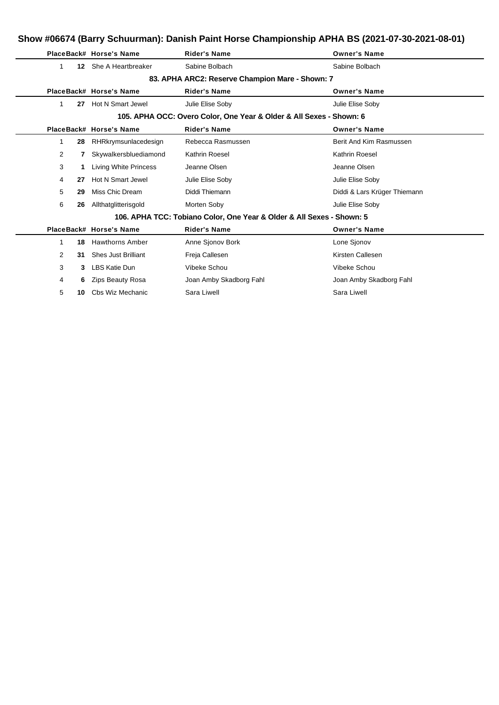# **Show #06674 (Barry Schuurman): Danish Paint Horse Championship APHA BS (2021-07-30-2021-08-01)**

|                |                  | PlaceBack# Horse's Name    | <b>Rider's Name</b>                                                   | <b>Owner's Name</b>          |
|----------------|------------------|----------------------------|-----------------------------------------------------------------------|------------------------------|
| 1              | 12 <sup>12</sup> | She A Heartbreaker         | Sabine Bolbach                                                        | Sabine Bolbach               |
|                |                  |                            | 83. APHA ARC2: Reserve Champion Mare - Shown: 7                       |                              |
|                |                  | PlaceBack# Horse's Name    | <b>Rider's Name</b>                                                   | <b>Owner's Name</b>          |
|                | 27               | Hot N Smart Jewel          | Julie Elise Soby                                                      | Julie Elise Soby             |
|                |                  |                            | 105. APHA OCC: Overo Color, One Year & Older & All Sexes - Shown: 6   |                              |
|                |                  | PlaceBack# Horse's Name    | <b>Rider's Name</b>                                                   | <b>Owner's Name</b>          |
| 1              | 28               | RHRkrymsunlacedesign       | Rebecca Rasmussen                                                     | Berit And Kim Rasmussen      |
| $\overline{2}$ |                  | Skywalkersbluediamond      | Kathrin Roesel                                                        | Kathrin Roesel               |
| 3              |                  | Living White Princess      | Jeanne Olsen                                                          | Jeanne Olsen                 |
| 4              | 27               | Hot N Smart Jewel          | Julie Elise Soby                                                      | Julie Elise Soby             |
| 5              | 29               | Miss Chic Dream            | Diddi Thiemann                                                        | Diddi & Lars Krüger Thiemann |
| 6              | 26               | Allthatglitterisgold       | Morten Soby                                                           | Julie Elise Soby             |
|                |                  |                            | 106. APHA TCC: Tobiano Color, One Year & Older & All Sexes - Shown: 5 |                              |
|                |                  | PlaceBack# Horse's Name    | <b>Rider's Name</b>                                                   | <b>Owner's Name</b>          |
| 1              | 18               | <b>Hawthorns Amber</b>     | Anne Sjonov Bork                                                      | Lone Sjonov                  |
| $\overline{2}$ | 31               | <b>Shes Just Brilliant</b> | Freja Callesen                                                        | Kirsten Callesen             |
| 3              | 3                | LBS Katie Dun              | Vibeke Schou                                                          | Vibeke Schou                 |
| 4              | 6                | <b>Zips Beauty Rosa</b>    | Joan Amby Skadborg Fahl                                               | Joan Amby Skadborg Fahl      |
| 5              | 10               | Cbs Wiz Mechanic           | Sara Liwell                                                           | Sara Liwell                  |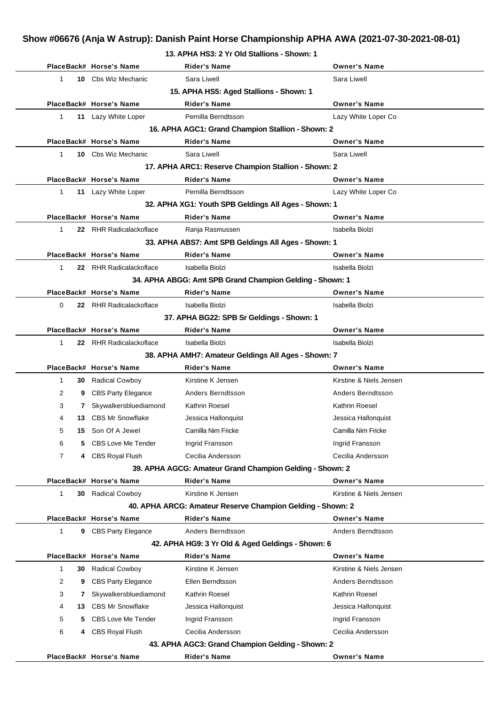# **Show #06676 (Anja W Astrup): Danish Paint Horse Championship APHA AWA (2021-07-30-2021-08-01)**

| 13. APHA HS3: 2 Yr Old Stallions - Shown: 1 |  |
|---------------------------------------------|--|
|---------------------------------------------|--|

|                                         | PlaceBack# Horse's Name        | Rider's Name                                               | <b>Owner's Name</b>     |  |  |  |  |
|-----------------------------------------|--------------------------------|------------------------------------------------------------|-------------------------|--|--|--|--|
| 1                                       | <b>10</b> Cbs Wiz Mechanic     | Sara Liwell                                                | Sara Liwell             |  |  |  |  |
| 15. APHA HS5: Aged Stallions - Shown: 1 |                                |                                                            |                         |  |  |  |  |
|                                         | PlaceBack# Horse's Name        | <b>Rider's Name</b>                                        | <b>Owner's Name</b>     |  |  |  |  |
| $\mathbf{1}$                            | 11 Lazy White Loper            | Pernilla Berndtsson                                        | Lazy White Loper Co     |  |  |  |  |
|                                         |                                | 16. APHA AGC1: Grand Champion Stallion - Shown: 2          |                         |  |  |  |  |
|                                         | PlaceBack# Horse's Name        | <b>Rider's Name</b>                                        | <b>Owner's Name</b>     |  |  |  |  |
| $\mathbf 1$                             | <b>10</b> Cbs Wiz Mechanic     | Sara Liwell                                                | Sara Liwell             |  |  |  |  |
|                                         |                                | 17. APHA ARC1: Reserve Champion Stallion - Shown: 2        |                         |  |  |  |  |
|                                         | PlaceBack# Horse's Name        | <b>Rider's Name</b>                                        | <b>Owner's Name</b>     |  |  |  |  |
| $\mathbf 1$                             | 11 Lazy White Loper            | Pernilla Berndtsson                                        | Lazy White Loper Co     |  |  |  |  |
|                                         |                                | 32. APHA XG1: Youth SPB Geldings All Ages - Shown: 1       |                         |  |  |  |  |
|                                         | PlaceBack# Horse's Name        | <b>Rider's Name</b>                                        | <b>Owner's Name</b>     |  |  |  |  |
| $\mathbf 1$                             | 22 RHR Radicalackoflace        | Ranja Rasmussen                                            | Isabella Biolzi         |  |  |  |  |
|                                         |                                | 33. APHA ABS7: Amt SPB Geldings All Ages - Shown: 1        |                         |  |  |  |  |
|                                         | PlaceBack# Horse's Name        | <b>Rider's Name</b>                                        | <b>Owner's Name</b>     |  |  |  |  |
| 1                                       | 22 RHR Radicalackoflace        | Isabella Biolzi                                            | Isabella Biolzi         |  |  |  |  |
|                                         |                                | 34. APHA ABGG: Amt SPB Grand Champion Gelding - Shown: 1   |                         |  |  |  |  |
|                                         | PlaceBack# Horse's Name        | <b>Rider's Name</b>                                        | <b>Owner's Name</b>     |  |  |  |  |
| 0                                       | 22 RHR Radicalackoflace        | Isabella Biolzi                                            | Isabella Biolzi         |  |  |  |  |
|                                         |                                | 37. APHA BG22: SPB Sr Geldings - Shown: 1                  |                         |  |  |  |  |
|                                         | PlaceBack# Horse's Name        | <b>Rider's Name</b>                                        | <b>Owner's Name</b>     |  |  |  |  |
| 1                                       | <b>22</b> RHR Radicalackoflace | Isabella Biolzi                                            | Isabella Biolzi         |  |  |  |  |
|                                         |                                | 38. APHA AMH7: Amateur Geldings All Ages - Shown: 7        |                         |  |  |  |  |
|                                         | PlaceBack# Horse's Name        | <b>Rider's Name</b>                                        | <b>Owner's Name</b>     |  |  |  |  |
| 1<br>30                                 | <b>Radical Cowboy</b>          | Kirstine K Jensen                                          | Kirstine & Niels Jensen |  |  |  |  |
| 2                                       | 9 CBS Party Elegance           | Anders Berndtsson                                          | Anders Berndtsson       |  |  |  |  |
| 3<br>7                                  | Skywalkersbluediamond          | Kathrin Roesel                                             | Kathrin Roesel          |  |  |  |  |
| 4                                       | 13 CBS Mr Snowflake            | Jessica Hallonquist                                        | Jessica Hallonquist     |  |  |  |  |
| 5                                       | 15 Son Of A Jewel              | Camilla Nim Fricke                                         | Camilla Nim Fricke      |  |  |  |  |
| 6<br>5.                                 | CBS Love Me Tender             | Ingrid Fransson                                            | Ingrid Fransson         |  |  |  |  |
| 7<br>4                                  | <b>CBS Royal Flush</b>         | Cecilia Andersson                                          | Cecilia Andersson       |  |  |  |  |
|                                         |                                | 39. APHA AGCG: Amateur Grand Champion Gelding - Shown: 2   |                         |  |  |  |  |
|                                         | PlaceBack# Horse's Name        | <b>Rider's Name</b>                                        | <b>Owner's Name</b>     |  |  |  |  |
| 1                                       | 30 Radical Cowboy              | Kirstine K Jensen                                          | Kirstine & Niels Jensen |  |  |  |  |
|                                         |                                | 40. APHA ARCG: Amateur Reserve Champion Gelding - Shown: 2 |                         |  |  |  |  |
|                                         | PlaceBack# Horse's Name        | <b>Rider's Name</b>                                        | <b>Owner's Name</b>     |  |  |  |  |
| 1                                       | 9 CBS Party Elegance           | Anders Berndtsson                                          | Anders Berndtsson       |  |  |  |  |
|                                         |                                | 42. APHA HG9: 3 Yr Old & Aged Geldings - Shown: 6          |                         |  |  |  |  |
|                                         | PlaceBack# Horse's Name        | <b>Rider's Name</b>                                        | <b>Owner's Name</b>     |  |  |  |  |
| $\mathbf{1}$<br>30                      | <b>Radical Cowboy</b>          | Kirstine K Jensen                                          | Kirstine & Niels Jensen |  |  |  |  |
| 2<br>9                                  | <b>CBS Party Elegance</b>      | Ellen Berndtsson                                           | Anders Berndtsson       |  |  |  |  |
| 3<br>7                                  | Skywalkersbluediamond          | Kathrin Roesel                                             | Kathrin Roesel          |  |  |  |  |
| 4<br>13                                 | <b>CBS Mr Snowflake</b>        | Jessica Hallonquist                                        | Jessica Hallonquist     |  |  |  |  |
| 5<br>5.                                 | <b>CBS Love Me Tender</b>      | Ingrid Fransson                                            | Ingrid Fransson         |  |  |  |  |
| 6<br>4                                  | CBS Royal Flush                | Cecilia Andersson                                          | Cecilia Andersson       |  |  |  |  |
|                                         |                                | 43. APHA AGC3: Grand Champion Gelding - Shown: 2           |                         |  |  |  |  |
|                                         | PlaceBack# Horse's Name        | <b>Rider's Name</b>                                        | <b>Owner's Name</b>     |  |  |  |  |
|                                         |                                |                                                            |                         |  |  |  |  |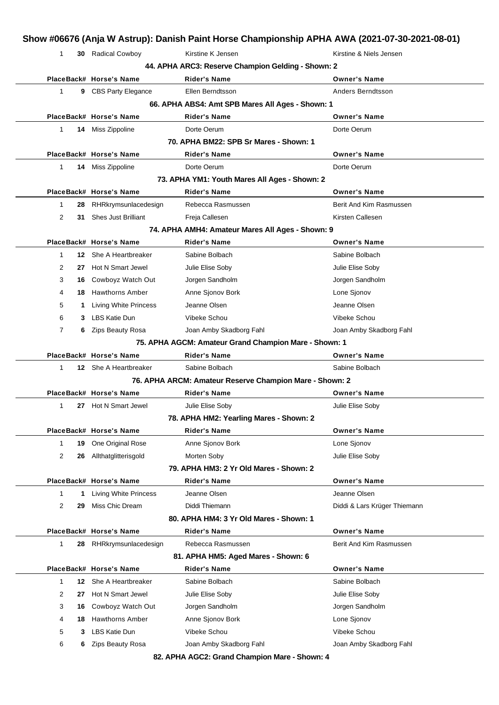|                                                  |                              | Show #06676 (Anja W Astrup): Danish Paint Horse Championship APHA AWA (2021-07-30-2021-08-01) |                              |  |  |  |  |  |
|--------------------------------------------------|------------------------------|-----------------------------------------------------------------------------------------------|------------------------------|--|--|--|--|--|
| 1                                                | 30 Radical Cowboy            | Kirstine K Jensen                                                                             | Kirstine & Niels Jensen      |  |  |  |  |  |
|                                                  |                              | 44. APHA ARC3: Reserve Champion Gelding - Shown: 2                                            |                              |  |  |  |  |  |
|                                                  | PlaceBack# Horse's Name      | <b>Rider's Name</b>                                                                           | <b>Owner's Name</b>          |  |  |  |  |  |
| 1                                                | <b>9</b> CBS Party Elegance  | Ellen Berndtsson                                                                              | Anders Berndtsson            |  |  |  |  |  |
| 66. APHA ABS4: Amt SPB Mares All Ages - Shown: 1 |                              |                                                                                               |                              |  |  |  |  |  |
|                                                  | PlaceBack# Horse's Name      | <b>Rider's Name</b>                                                                           | <b>Owner's Name</b>          |  |  |  |  |  |
| 1                                                | 14 Miss Zippoline            | Dorte Oerum                                                                                   | Dorte Oerum                  |  |  |  |  |  |
|                                                  |                              | 70. APHA BM22: SPB Sr Mares - Shown: 1                                                        |                              |  |  |  |  |  |
|                                                  | PlaceBack# Horse's Name      | Rider's Name                                                                                  | <b>Owner's Name</b>          |  |  |  |  |  |
| 1                                                | 14 Miss Zippoline            | Dorte Oerum                                                                                   | Dorte Oerum                  |  |  |  |  |  |
|                                                  |                              | 73. APHA YM1: Youth Mares All Ages - Shown: 2                                                 |                              |  |  |  |  |  |
|                                                  | PlaceBack# Horse's Name      | Rider's Name                                                                                  | <b>Owner's Name</b>          |  |  |  |  |  |
| 1<br>28                                          | RHRkrymsunlacedesign         | Rebecca Rasmussen                                                                             | Berit And Kim Rasmussen      |  |  |  |  |  |
| 2<br>31                                          | <b>Shes Just Brilliant</b>   | Freja Callesen                                                                                | Kirsten Callesen             |  |  |  |  |  |
|                                                  |                              | 74. APHA AMH4: Amateur Mares All Ages - Shown: 9                                              |                              |  |  |  |  |  |
|                                                  | PlaceBack# Horse's Name      | Rider's Name                                                                                  | <b>Owner's Name</b>          |  |  |  |  |  |
| 1                                                | <b>12</b> She A Heartbreaker | Sabine Bolbach                                                                                | Sabine Bolbach               |  |  |  |  |  |
| 2<br>27                                          | Hot N Smart Jewel            | Julie Elise Soby                                                                              | Julie Elise Soby             |  |  |  |  |  |
| 3<br>16                                          | Cowboyz Watch Out            | Jorgen Sandholm                                                                               | Jorgen Sandholm              |  |  |  |  |  |
| 4                                                | 18 Hawthorns Amber           | Anne Sjonov Bork                                                                              | Lone Sjonov                  |  |  |  |  |  |
| 5<br>1.                                          | <b>Living White Princess</b> | Jeanne Olsen                                                                                  | Jeanne Olsen                 |  |  |  |  |  |
| 6                                                | 3 LBS Katie Dun              | Vibeke Schou                                                                                  | Vibeke Schou                 |  |  |  |  |  |
| 7                                                | 6 Zips Beauty Rosa           | Joan Amby Skadborg Fahl                                                                       | Joan Amby Skadborg Fahl      |  |  |  |  |  |
|                                                  |                              | 75. APHA AGCM: Amateur Grand Champion Mare - Shown: 1                                         |                              |  |  |  |  |  |
|                                                  | PlaceBack# Horse's Name      | <b>Rider's Name</b>                                                                           | <b>Owner's Name</b>          |  |  |  |  |  |
| 1                                                | <b>12</b> She A Heartbreaker | Sabine Bolbach                                                                                | Sabine Bolbach               |  |  |  |  |  |
|                                                  |                              | 76. APHA ARCM: Amateur Reserve Champion Mare - Shown: 2                                       |                              |  |  |  |  |  |
|                                                  | PlaceBack# Horse's Name      | Rider's Name                                                                                  | <b>Owner's Name</b>          |  |  |  |  |  |
| 1                                                | 27 Hot N Smart Jewel         | Julie Elise Soby                                                                              | Julie Elise Soby             |  |  |  |  |  |
|                                                  |                              | 78. APHA HM2: Yearling Mares - Shown: 2                                                       |                              |  |  |  |  |  |
|                                                  | PlaceBack# Horse's Name      | <b>Rider's Name</b>                                                                           | <b>Owner's Name</b>          |  |  |  |  |  |
| 1<br>19                                          | One Original Rose            | Anne Sjonov Bork                                                                              | Lone Sjonov                  |  |  |  |  |  |
| 2<br>26                                          | Allthatglitterisgold         | Morten Soby                                                                                   | Julie Elise Soby             |  |  |  |  |  |
|                                                  |                              | 79. APHA HM3: 2 Yr Old Mares - Shown: 2                                                       |                              |  |  |  |  |  |
|                                                  | PlaceBack# Horse's Name      | Rider's Name                                                                                  | <b>Owner's Name</b>          |  |  |  |  |  |
| 1<br>1                                           | Living White Princess        | Jeanne Olsen                                                                                  | Jeanne Olsen                 |  |  |  |  |  |
| 2<br>29                                          | Miss Chic Dream              | Diddi Thiemann                                                                                | Diddi & Lars Krüger Thiemann |  |  |  |  |  |
|                                                  |                              | 80. APHA HM4: 3 Yr Old Mares - Shown: 1                                                       |                              |  |  |  |  |  |
|                                                  | PlaceBack# Horse's Name      | Rider's Name                                                                                  | <b>Owner's Name</b>          |  |  |  |  |  |
| 1<br>28                                          | RHRkrymsunlacedesign         | Rebecca Rasmussen                                                                             | Berit And Kim Rasmussen      |  |  |  |  |  |
|                                                  |                              | 81. APHA HM5: Aged Mares - Shown: 6                                                           |                              |  |  |  |  |  |
|                                                  | PlaceBack# Horse's Name      | <b>Rider's Name</b>                                                                           | <b>Owner's Name</b>          |  |  |  |  |  |
| 1<br>12                                          | She A Heartbreaker           | Sabine Bolbach                                                                                | Sabine Bolbach               |  |  |  |  |  |
| 2<br>27                                          | Hot N Smart Jewel            | Julie Elise Soby                                                                              | Julie Elise Soby             |  |  |  |  |  |
| 3<br>16                                          | Cowboyz Watch Out            | Jorgen Sandholm                                                                               | Jorgen Sandholm              |  |  |  |  |  |
| 4<br>18                                          | <b>Hawthorns Amber</b>       | Anne Sjonov Bork                                                                              | Lone Sjonov                  |  |  |  |  |  |
| 5<br>3                                           | <b>LBS Katie Dun</b>         | Vibeke Schou                                                                                  | Vibeke Schou                 |  |  |  |  |  |
| 6<br>6.                                          | Zips Beauty Rosa             | Joan Amby Skadborg Fahl                                                                       | Joan Amby Skadborg Fahl      |  |  |  |  |  |
|                                                  |                              | 82. APHA AGC2: Grand Champion Mare - Shown: 4                                                 |                              |  |  |  |  |  |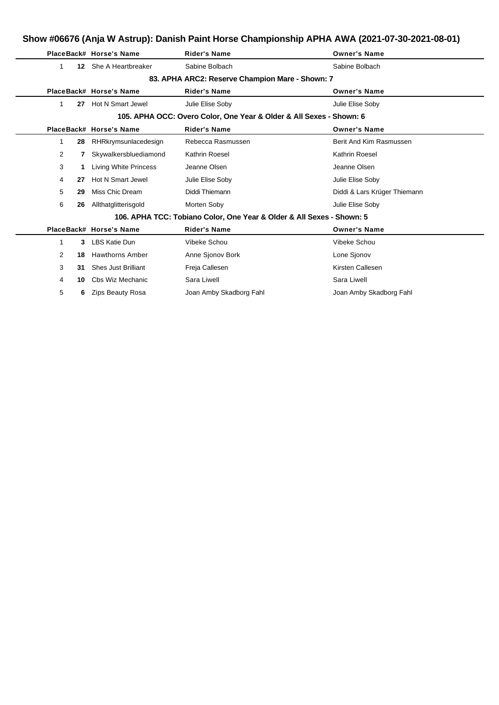# **Show #06676 (Anja W Astrup): Danish Paint Horse Championship APHA AWA (2021-07-30-2021-08-01)**

|                |    | PlaceBack# Horse's Name | <b>Rider's Name</b>                                                   | <b>Owner's Name</b>          |
|----------------|----|-------------------------|-----------------------------------------------------------------------|------------------------------|
| 1              |    | 12 She A Heartbreaker   | Sabine Bolbach                                                        | Sabine Bolbach               |
|                |    |                         | 83. APHA ARC2: Reserve Champion Mare - Shown: 7                       |                              |
|                |    | PlaceBack# Horse's Name | <b>Rider's Name</b>                                                   | <b>Owner's Name</b>          |
| 1              | 27 | Hot N Smart Jewel       | Julie Elise Soby                                                      | Julie Elise Soby             |
|                |    |                         | 105. APHA OCC: Overo Color, One Year & Older & All Sexes - Shown: 6   |                              |
|                |    | PlaceBack# Horse's Name | <b>Rider's Name</b>                                                   | <b>Owner's Name</b>          |
| 1              | 28 | RHRkrymsunlacedesign    | Rebecca Rasmussen                                                     | Berit And Kim Rasmussen      |
| $\overline{2}$ | 7  | Skywalkersbluediamond   | Kathrin Roesel                                                        | Kathrin Roesel               |
| 3              |    | Living White Princess   | Jeanne Olsen                                                          | Jeanne Olsen                 |
| 4              | 27 | Hot N Smart Jewel       | Julie Elise Soby                                                      | Julie Elise Soby             |
| 5              | 29 | Miss Chic Dream         | Diddi Thiemann                                                        | Diddi & Lars Krüger Thiemann |
| 6              | 26 | Allthatglitterisgold    | Morten Soby                                                           | Julie Elise Soby             |
|                |    |                         | 106. APHA TCC: Tobiano Color, One Year & Older & All Sexes - Shown: 5 |                              |
|                |    | PlaceBack# Horse's Name | <b>Rider's Name</b>                                                   | <b>Owner's Name</b>          |
| 1              | 3  | LBS Katie Dun           | Vibeke Schou                                                          | Vibeke Schou                 |
| $\overline{2}$ | 18 | <b>Hawthorns Amber</b>  | Anne Sjonov Bork                                                      | Lone Sjonov                  |
| 3              | 31 | Shes Just Brilliant     | Freja Callesen                                                        | Kirsten Callesen             |
| 4              | 10 | Cbs Wiz Mechanic        | Sara Liwell                                                           | Sara Liwell                  |
| 5              | 6  | Zips Beauty Rosa        | Joan Amby Skadborg Fahl                                               | Joan Amby Skadborg Fahl      |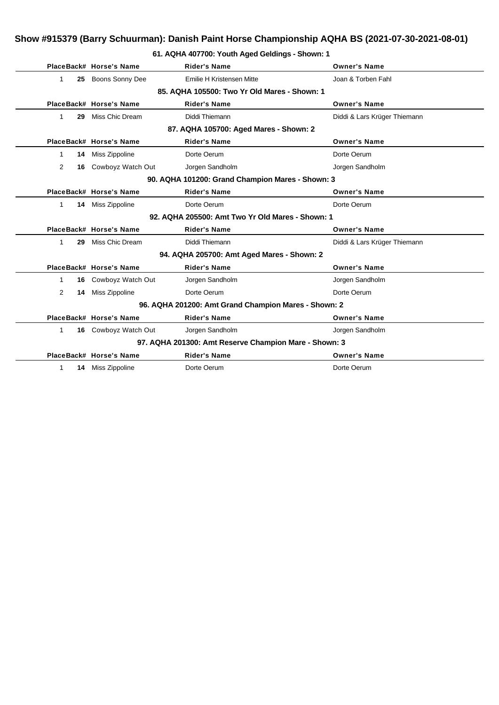# **Show #915379 (Barry Schuurman): Danish Paint Horse Championship AQHA BS (2021-07-30-2021-08-01)**

| 61. AQHA 407700: Youth Aged Geldings - Shown: 1 |  |
|-------------------------------------------------|--|
|-------------------------------------------------|--|

|                                                       |                                                      | Asi in 407700. Touth Agea Ocialityo |                              |  |  |  |  |
|-------------------------------------------------------|------------------------------------------------------|-------------------------------------|------------------------------|--|--|--|--|
|                                                       | PlaceBack# Horse's Name                              | <b>Rider's Name</b>                 | <b>Owner's Name</b>          |  |  |  |  |
| 1<br>25                                               | Boons Sonny Dee                                      | Emilie H Kristensen Mitte           | Joan & Torben Fahl           |  |  |  |  |
|                                                       | 85. AQHA 105500: Two Yr Old Mares - Shown: 1         |                                     |                              |  |  |  |  |
|                                                       | PlaceBack# Horse's Name                              | <b>Rider's Name</b>                 | <b>Owner's Name</b>          |  |  |  |  |
| 1<br>29                                               | Miss Chic Dream                                      | Diddi Thiemann                      | Diddi & Lars Krüger Thiemann |  |  |  |  |
|                                                       | 87. AQHA 105700: Aged Mares - Shown: 2               |                                     |                              |  |  |  |  |
|                                                       | PlaceBack# Horse's Name                              | <b>Rider's Name</b>                 | <b>Owner's Name</b>          |  |  |  |  |
| 1<br>14                                               | Miss Zippoline                                       | Dorte Oerum                         | Dorte Oerum                  |  |  |  |  |
| 2<br>16.                                              | Cowboyz Watch Out                                    | Jorgen Sandholm                     | Jorgen Sandholm              |  |  |  |  |
|                                                       | 90. AQHA 101200: Grand Champion Mares - Shown: 3     |                                     |                              |  |  |  |  |
|                                                       | PlaceBack# Horse's Name                              | <b>Rider's Name</b>                 | <b>Owner's Name</b>          |  |  |  |  |
| $\mathbf{1}$                                          | 14 Miss Zippoline                                    | Dorte Oerum                         | Dorte Oerum                  |  |  |  |  |
|                                                       | 92. AQHA 205500: Amt Two Yr Old Mares - Shown: 1     |                                     |                              |  |  |  |  |
|                                                       | PlaceBack# Horse's Name                              | <b>Rider's Name</b>                 | <b>Owner's Name</b>          |  |  |  |  |
| $\mathbf{1}$<br>29                                    | Miss Chic Dream                                      | Diddi Thiemann                      | Diddi & Lars Krüger Thiemann |  |  |  |  |
|                                                       | 94. AQHA 205700: Amt Aged Mares - Shown: 2           |                                     |                              |  |  |  |  |
|                                                       | PlaceBack# Horse's Name                              | <b>Rider's Name</b>                 | <b>Owner's Name</b>          |  |  |  |  |
| 1<br>16                                               | Cowboyz Watch Out                                    | Jorgen Sandholm                     | Jorgen Sandholm              |  |  |  |  |
| 2<br>14                                               | Miss Zippoline                                       | Dorte Oerum                         | Dorte Oerum                  |  |  |  |  |
|                                                       | 96. AQHA 201200: Amt Grand Champion Mares - Shown: 2 |                                     |                              |  |  |  |  |
|                                                       | PlaceBack# Horse's Name                              | <b>Rider's Name</b>                 | <b>Owner's Name</b>          |  |  |  |  |
| 1                                                     | 16 Cowboyz Watch Out                                 | Jorgen Sandholm                     | Jorgen Sandholm              |  |  |  |  |
| 97. AQHA 201300: Amt Reserve Champion Mare - Shown: 3 |                                                      |                                     |                              |  |  |  |  |
|                                                       | PlaceBack# Horse's Name                              | <b>Rider's Name</b>                 | <b>Owner's Name</b>          |  |  |  |  |
| 1                                                     | 14 Miss Zippoline                                    | Dorte Oerum                         | Dorte Oerum                  |  |  |  |  |